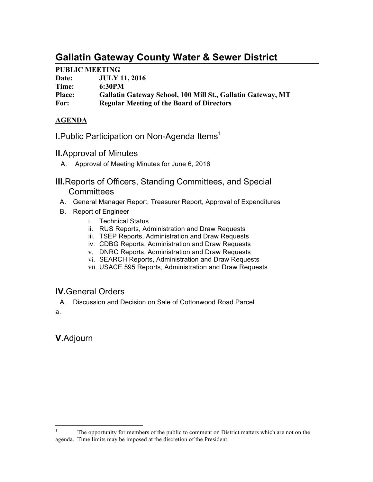# **Gallatin Gateway County Water & Sewer District**

## **PUBLIC MEETING**

| Date:         | <b>JULY 11, 2016</b>                                        |
|---------------|-------------------------------------------------------------|
| Time:         | 6:30PM                                                      |
| <b>Place:</b> | Gallatin Gateway School, 100 Mill St., Gallatin Gateway, MT |
| For:          | <b>Regular Meeting of the Board of Directors</b>            |

## **AGENDA**

**I.**Public Participation on Non-Agenda Items<sup>1</sup>

- **II.**Approval of Minutes
	- A. Approval of Meeting Minutes for June 6, 2016

**III.**Reports of Officers, Standing Committees, and Special **Committees** 

- A. General Manager Report, Treasurer Report, Approval of Expenditures
- B. Report of Engineer
	- i. Technical Status
	- ii. RUS Reports, Administration and Draw Requests
	- iii. TSEP Reports, Administration and Draw Requests
	- iv. CDBG Reports, Administration and Draw Requests
	- v. DNRC Reports, Administration and Draw Requests
	- vi. SEARCH Reports, Administration and Draw Requests
	- vii. USACE 595 Reports, Administration and Draw Requests

# **IV.**General Orders

A. Discussion and Decision on Sale of Cottonwood Road Parcel a.

**V.**Adjourn

 $1$  The opportunity for members of the public to comment on District matters which are not on the agenda. Time limits may be imposed at the discretion of the President.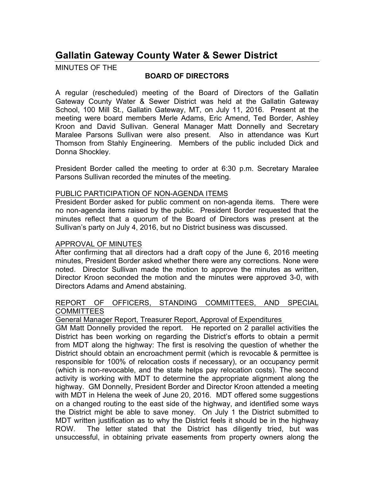# **Gallatin Gateway County Water & Sewer District**

MINUTES OF THE

### **BOARD OF DIRECTORS**

A regular (rescheduled) meeting of the Board of Directors of the Gallatin Gateway County Water & Sewer District was held at the Gallatin Gateway School, 100 Mill St., Gallatin Gateway, MT, on July 11, 2016. Present at the meeting were board members Merle Adams, Eric Amend, Ted Border, Ashley Kroon and David Sullivan. General Manager Matt Donnelly and Secretary Maralee Parsons Sullivan were also present. Also in attendance was Kurt Thomson from Stahly Engineering. Members of the public included Dick and Donna Shockley.

President Border called the meeting to order at 6:30 p.m. Secretary Maralee Parsons Sullivan recorded the minutes of the meeting.

#### PUBLIC PARTICIPATION OF NON-AGENDA ITEMS

President Border asked for public comment on non-agenda items. There were no non-agenda items raised by the public. President Border requested that the minutes reflect that a quorum of the Board of Directors was present at the Sullivan's party on July 4, 2016, but no District business was discussed.

#### APPROVAL OF MINUTES

After confirming that all directors had a draft copy of the June 6, 2016 meeting minutes, President Border asked whether there were any corrections. None were noted. Director Sullivan made the motion to approve the minutes as written, Director Kroon seconded the motion and the minutes were approved 3-0, with Directors Adams and Amend abstaining.

#### REPORT OF OFFICERS, STANDING COMMITTEES, AND SPECIAL **COMMITTEES**

General Manager Report, Treasurer Report, Approval of Expenditures

GM Matt Donnelly provided the report. He reported on 2 parallel activities the District has been working on regarding the District's efforts to obtain a permit from MDT along the highway: The first is resolving the question of whether the District should obtain an encroachment permit (which is revocable & permittee is responsible for 100% of relocation costs if necessary), or an occupancy permit (which is non-revocable, and the state helps pay relocation costs). The second activity is working with MDT to determine the appropriate alignment along the highway. GM Donnelly, President Border and Director Kroon attended a meeting with MDT in Helena the week of June 20, 2016. MDT offered some suggestions on a changed routing to the east side of the highway, and identified some ways the District might be able to save money. On July 1 the District submitted to MDT written justification as to why the District feels it should be in the highway ROW. The letter stated that the District has diligently tried, but was unsuccessful, in obtaining private easements from property owners along the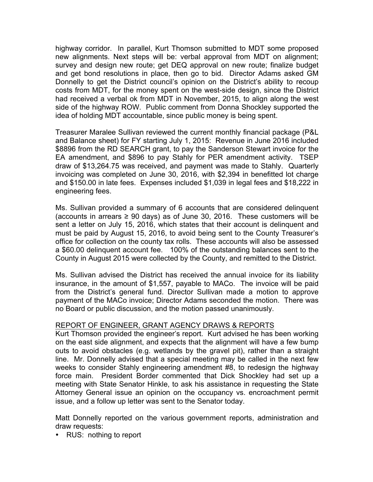highway corridor. In parallel, Kurt Thomson submitted to MDT some proposed new alignments. Next steps will be: verbal approval from MDT on alignment; survey and design new route; get DEQ approval on new route; finalize budget and get bond resolutions in place, then go to bid. Director Adams asked GM Donnelly to get the District council's opinion on the District's ability to recoup costs from MDT, for the money spent on the west-side design, since the District had received a verbal ok from MDT in November, 2015, to align along the west side of the highway ROW. Public comment from Donna Shockley supported the idea of holding MDT accountable, since public money is being spent.

Treasurer Maralee Sullivan reviewed the current monthly financial package (P&L and Balance sheet) for FY starting July 1, 2015: Revenue in June 2016 included \$8896 from the RD SEARCH grant, to pay the Sanderson Stewart invoice for the EA amendment, and \$896 to pay Stahly for PER amendment activity. TSEP draw of \$13,264.75 was received, and payment was made to Stahly. Quarterly invoicing was completed on June 30, 2016, with \$2,394 in benefitted lot charge and \$150.00 in late fees. Expenses included \$1,039 in legal fees and \$18,222 in engineering fees.

Ms. Sullivan provided a summary of 6 accounts that are considered delinquent (accounts in arrears ≥ 90 days) as of June 30, 2016. These customers will be sent a letter on July 15, 2016, which states that their account is delinquent and must be paid by August 15, 2016, to avoid being sent to the County Treasurer's office for collection on the county tax rolls. These accounts will also be assessed a \$60.00 delinquent account fee. 100% of the outstanding balances sent to the County in August 2015 were collected by the County, and remitted to the District.

Ms. Sullivan advised the District has received the annual invoice for its liability insurance, in the amount of \$1,557, payable to MACo. The invoice will be paid from the District's general fund. Director Sullivan made a motion to approve payment of the MACo invoice; Director Adams seconded the motion. There was no Board or public discussion, and the motion passed unanimously.

#### REPORT OF ENGINEER, GRANT AGENCY DRAWS & REPORTS

Kurt Thomson provided the engineer's report. Kurt advised he has been working on the east side alignment, and expects that the alignment will have a few bump outs to avoid obstacles (e.g. wetlands by the gravel pit), rather than a straight line. Mr. Donnelly advised that a special meeting may be called in the next few weeks to consider Stahly engineering amendment #8, to redesign the highway force main. President Border commented that Dick Shockley had set up a meeting with State Senator Hinkle, to ask his assistance in requesting the State Attorney General issue an opinion on the occupancy vs. encroachment permit issue, and a follow up letter was sent to the Senator today.

Matt Donnelly reported on the various government reports, administration and draw requests:

• RUS: nothing to report